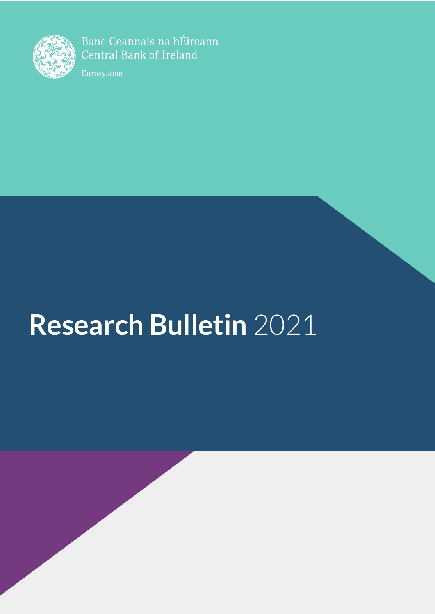

Banc Ceannais na hÉireann **Central Bank of Ireland** 

Eurosystem

# **Research Bulletin 2021**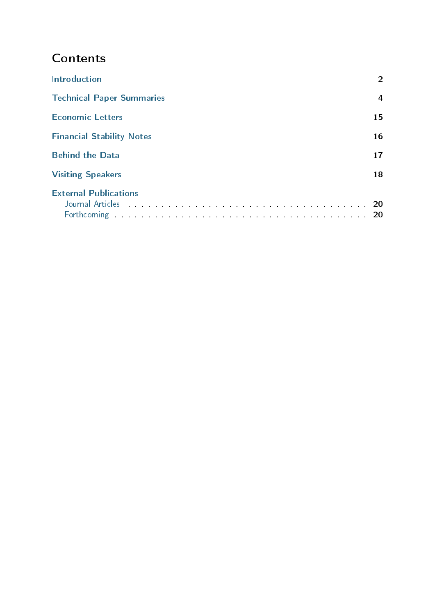# **Contents**

| <b>Introduction</b>                                                                                                | $\overline{2}$ |
|--------------------------------------------------------------------------------------------------------------------|----------------|
| <b>Technical Paper Summaries</b>                                                                                   | 4              |
| <b>Economic Letters</b>                                                                                            | 15             |
| <b>Financial Stability Notes</b>                                                                                   | 16             |
| <b>Behind the Data</b>                                                                                             |                |
| <b>Visiting Speakers</b>                                                                                           | 18             |
| <b>External Publications</b><br>Forthcoming the contract of the contract of the contract of the contract of the 20 | -20            |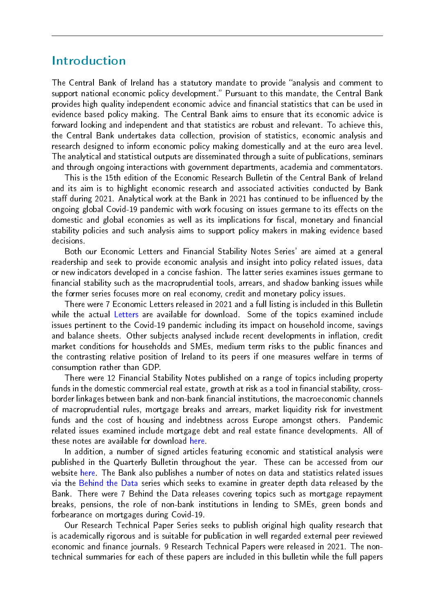## Introduction

The Central Bank of Ireland has a statutory mandate to provide "analysis and comment to support national economic policy development." Pursuant to this mandate, the Central Bank provides high quality independent economic advice and financial statistics that can be used in evidence based policy making. The Central Bank aims to ensure that its economic advice is forward looking and independent and that statistics are robust and relevant. To achieve this, the Central Bank undertakes data collection, provision of statistics, economic analysis and research designed to inform economic policy making domestically and at the euro area level. The analytical and statistical outputs are disseminated through a suite of publications, seminars and through ongoing interactions with government departments, academia and commentators.

This is the 15th edition of the Economic Research Bulletin of the Central Bank of Ireland and its aim is to highlight economic research and associated activities conducted by Bank staff during 2021. Analytical work at the Bank in 2021 has continued to be influenced by the ongoing global Covid-19 pandemic with work focusing on issues germane to its effects on the domestic and global economies as well as its implications for fiscal, monetary and financial stability policies and such analysis aims to support policy makers in making evidence based decisions.

Both our Economic Letters and Financial Stability Notes Series' are aimed at a general readership and seek to provide economic analysis and insight into policy related issues, data or new indicators developed in a concise fashion. The latter series examines issues germane to nancial stability such as the macroprudential tools, arrears, and shadow banking issues while the former series focuses more on real economy, credit and monetary policy issues.

There were 7 Economic Letters released in 2021 and a full listing is included in this Bulletin while the actual [Letters](https://www.centralbank.ie/publication/economic-letters) are available for download. Some of the topics examined include issues pertinent to the Covid-19 pandemic including its impact on household income, savings and balance sheets. Other subjects analysed include recent developments in inflation, credit market conditions for households and SMEs, medium term risks to the public finances and the contrasting relative position of Ireland to its peers if one measures welfare in terms of consumption rather than GDP.

There were 12 Financial Stability Notes published on a range of topics including property funds in the domestic commercial real estate, growth at risk as a tool in financial stability, crossborder linkages between bank and non-bank financial institutions, the macroeconomic channels of macroprudential rules, mortgage breaks and arrears, market liquidity risk for investment funds and the cost of housing and indebtness across Europe amongst others. Pandemic related issues examined include mortgage debt and real estate finance developments. All of these notes are available for download [here.](https://www.centralbank.ie/publication/financial-stability-notes)

In addition, a number of signed articles featuring economic and statistical analysis were published in the Quarterly Bulletin throughout the year. These can be accessed from our website [here.](https://www.centralbank.ie/publication/quarterly-bulletins/quarterly-bulletins-list) The Bank also publishes a number of notes on data and statistics related issues via the [Behind the Data](https://www.centralbank.ie/statistics/statistical-publications/behind-the-data) series which seeks to examine in greater depth data released by the Bank. There were 7 Behind the Data releases covering topics such as mortgage repayment breaks, pensions, the role of non-bank institutions in lending to SMEs, green bonds and forbearance on mortgages during Covid-19.

Our Research Technical Paper Series seeks to publish original high quality research that is academically rigorous and is suitable for publication in well regarded external peer reviewed economic and finance journals. 9 Research Technical Papers were released in 2021. The nontechnical summaries for each of these papers are included in this bulletin while the full papers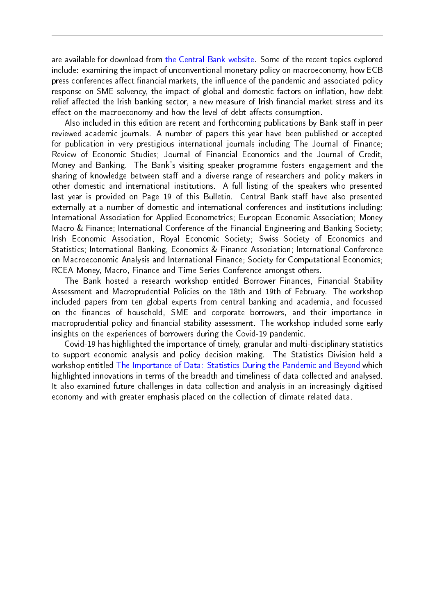are available for download from [the Central Bank website.](https://www.centralbank.ie/publication/research-technical-papers) Some of the recent topics explored include: examining the impact of unconventional monetary policy on macroeconomy, how ECB press conferences affect financial markets, the influence of the pandemic and associated policy response on SME solvency, the impact of global and domestic factors on inflation, how debt relief affected the Irish banking sector, a new measure of Irish financial market stress and its effect on the macroeconomy and how the level of debt affects consumption.

Also included in this edition are recent and forthcoming publications by Bank staff in peer reviewed academic journals. A number of papers this year have been published or accepted for publication in very prestigious international journals including The Journal of Finance; Review of Economic Studies; Journal of Financial Economics and the Journal of Credit, Money and Banking. The Bank's visiting speaker programme fosters engagement and the sharing of knowledge between staff and a diverse range of researchers and policy makers in other domestic and international institutions. A full listing of the speakers who presented last year is provided on Page 19 of this Bulletin. Central Bank staff have also presented externally at a number of domestic and international conferences and institutions including: International Association for Applied Econometrics; European Economic Association; Money Macro & Finance; International Conference of the Financial Engineering and Banking Society; Irish Economic Association, Royal Economic Society; Swiss Society of Economics and Statistics; International Banking, Economics & Finance Association; International Conference on Macroeconomic Analysis and International Finance; Society for Computational Economics; RCEA Money, Macro, Finance and Time Series Conference amongst others.

The Bank hosted a research workshop entitled Borrower Finances, Financial Stability Assessment and Macroprudential Policies on the 18th and 19th of February. The workshop included papers from ten global experts from central banking and academia, and focussed on the nances of household, SME and corporate borrowers, and their importance in macroprudential policy and financial stability assessment. The workshop included some early insights on the experiences of borrowers during the Covid-19 pandemic.

Covid-19 has highlighted the importance of timely, granular and multi-disciplinary statistics to support economic analysis and policy decision making. The Statistics Division held a workshop entitled [The Importance of Data: Statistics During the Pandemic and Beyond](https://www.centralbank.ie/events/event-detail/2021/10/07/default-calendar/webinar-the-importance-of-data-statistics-during-the-pandemic-and-beyond) which highlighted innovations in terms of the breadth and timeliness of data collected and analysed. It also examined future challenges in data collection and analysis in an increasingly digitised economy and with greater emphasis placed on the collection of climate related data.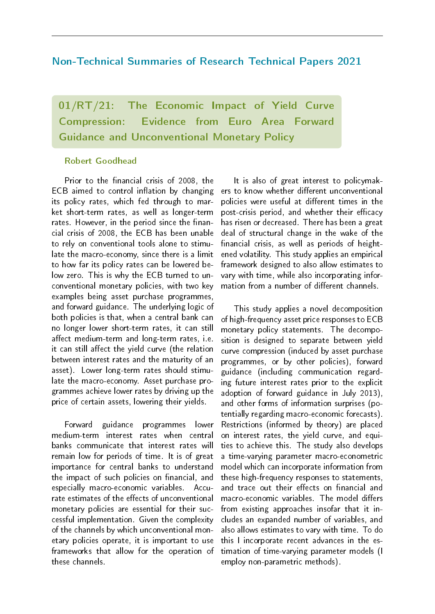#### Non-Technical Summaries of Research Technical Papers 2021

01/RT/21: The Economic Impact of Yield Curve Compression: Evidence from Euro Area Forward Guidance and Unconventional Monetary Policy

#### Robert Goodhead

Prior to the financial crisis of 2008, the  $ECB$  aimed to control inflation by changing its policy rates, which fed through to market short-term rates, as well as longer-term rates. However, in the period since the financial crisis of 2008, the ECB has been unable to rely on conventional tools alone to stimulate the macro-economy, since there is a limit to how far its policy rates can be lowered below zero. This is why the ECB turned to unconventional monetary policies, with two key examples being asset purchase programmes, and forward guidance. The underlying logic of both policies is that, when a central bank can no longer lower short-term rates, it can still affect medium-term and long-term rates, i.e. it can still affect the yield curve (the relation between interest rates and the maturity of an asset). Lower long-term rates should stimulate the macro-economy. Asset purchase programmes achieve lower rates by driving up the price of certain assets, lowering their yields.

Forward guidance programmes lower medium-term interest rates when central banks communicate that interest rates will remain low for periods of time. It is of great importance for central banks to understand the impact of such policies on financial, and especially macro-economic variables. Accurate estimates of the effects of unconventional monetary policies are essential for their successful implementation. Given the complexity of the channels by which unconventional monetary policies operate, it is important to use frameworks that allow for the operation of these channels.

It is also of great interest to policymakers to know whether different unconventional policies were useful at different times in the post-crisis period, and whether their efficacy has risen or decreased. There has been a great deal of structural change in the wake of the financial crisis, as well as periods of heightened volatility. This study applies an empirical framework designed to also allow estimates to vary with time, while also incorporating information from a number of different channels.

This study applies a novel decomposition of high-frequency asset price responses to ECB monetary policy statements. The decomposition is designed to separate between yield curve compression (induced by asset purchase programmes, or by other policies), forward guidance (including communication regarding future interest rates prior to the explicit adoption of forward guidance in July 2013), and other forms of information surprises (potentially regarding macro-economic forecasts). Restrictions (informed by theory) are placed on interest rates, the yield curve, and equities to achieve this. The study also develops a time-varying parameter macro-econometric model which can incorporate information from these high-frequency responses to statements, and trace out their effects on financial and macro-economic variables. The model differs from existing approaches insofar that it includes an expanded number of variables, and also allows estimates to vary with time. To do this I incorporate recent advances in the estimation of time-varying parameter models (I employ non-parametric methods).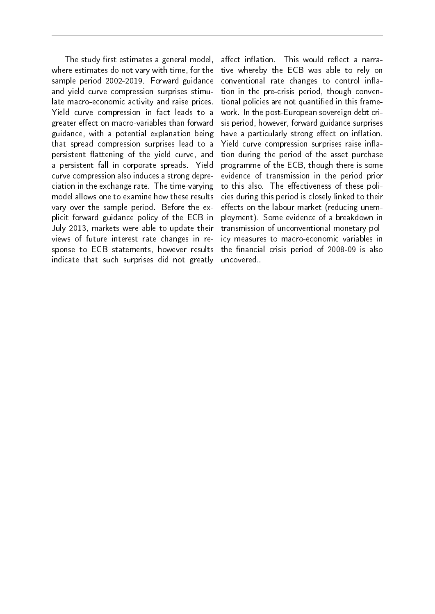The study first estimates a general model, where estimates do not vary with time, for the sample period 2002-2019. Forward guidance and yield curve compression surprises stimulate macro-economic activity and raise prices. Yield curve compression in fact leads to a greater effect on macro-variables than forward guidance, with a potential explanation being that spread compression surprises lead to a persistent flattening of the yield curve, and a persistent fall in corporate spreads. Yield curve compression also induces a strong depreciation in the exchange rate. The time-varying model allows one to examine how these results vary over the sample period. Before the explicit forward guidance policy of the ECB in July 2013, markets were able to update their views of future interest rate changes in response to ECB statements, however results indicate that such surprises did not greatly

affect inflation. This would reflect a narrative whereby the ECB was able to rely on conventional rate changes to control inflation in the pre-crisis period, though conventional policies are not quantified in this framework. In the post-European sovereign debt crisis period, however, forward guidance surprises have a particularly strong effect on inflation. Yield curve compression surprises raise inflation during the period of the asset purchase programme of the ECB, though there is some evidence of transmission in the period prior to this also. The effectiveness of these policies during this period is closely linked to their effects on the labour market (reducing unemployment). Some evidence of a breakdown in transmission of unconventional monetary policy measures to macro-economic variables in the financial crisis period of 2008-09 is also uncovered..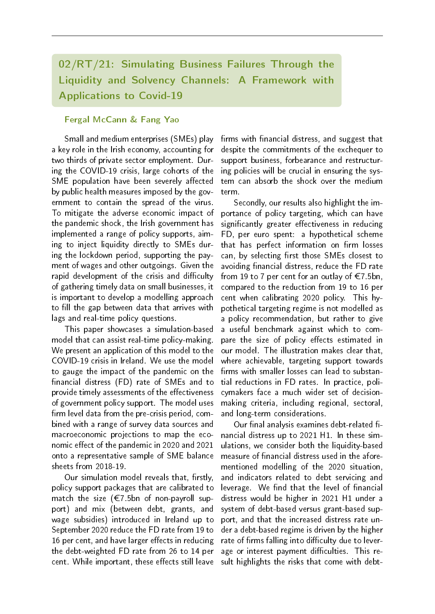## 02/RT/21: Simulating Business Failures Through the Liquidity and Solvency Channels: A Framework with Applications to Covid-19

#### Fergal McCann & Fang Yao

Small and medium enterprises (SMEs) play a key role in the Irish economy, accounting for two thirds of private sector employment. During the COVID-19 crisis, large cohorts of the SME population have been severely affected by public health measures imposed by the government to contain the spread of the virus. To mitigate the adverse economic impact of the pandemic shock, the Irish government has implemented a range of policy supports, aiming to inject liquidity directly to SMEs during the lockdown period, supporting the payment of wages and other outgoings. Given the rapid development of the crisis and difficulty of gathering timely data on small businesses, it is important to develop a modelling approach to fill the gap between data that arrives with lags and real-time policy questions.

This paper showcases a simulation-based model that can assist real-time policy-making. We present an application of this model to the COVID-19 crisis in Ireland. We use the model to gauge the impact of the pandemic on the financial distress (FD) rate of SMEs and to provide timely assessments of the effectiveness of government policy support. The model uses firm level data from the pre-crisis period, combined with a range of survey data sources and macroeconomic projections to map the economic effect of the pandemic in 2020 and 2021 onto a representative sample of SME balance sheets from 2018-19.

Our simulation model reveals that, firstly, policy support packages that are calibrated to match the size ( $\epsilon$ 7.5bn of non-payroll support) and mix (between debt, grants, and wage subsidies) introduced in Ireland up to September 2020 reduce the FD rate from 19 to 16 per cent, and have larger effects in reducing the debt-weighted FD rate from 26 to 14 per cent. While important, these effects still leave

firms with financial distress, and suggest that despite the commitments of the exchequer to support business, forbearance and restructuring policies will be crucial in ensuring the system can absorb the shock over the medium term.

Secondly, our results also highlight the importance of policy targeting, which can have significantly greater effectiveness in reducing FD, per euro spent: a hypothetical scheme that has perfect information on firm losses can, by selecting first those SMEs closest to avoiding financial distress, reduce the FD rate from 19 to 7 per cent for an outlay of  $\epsilon$ 7.5bn, compared to the reduction from 19 to 16 per cent when calibrating 2020 policy. This hypothetical targeting regime is not modelled as a policy recommendation, but rather to give a useful benchmark against which to compare the size of policy effects estimated in our model. The illustration makes clear that, where achievable, targeting support towards firms with smaller losses can lead to substantial reductions in FD rates. In practice, policymakers face a much wider set of decisionmaking criteria, including regional, sectoral, and long-term considerations.

Our final analysis examines debt-related financial distress up to 2021 H1. In these simulations, we consider both the liquidity-based measure of financial distress used in the aforementioned modelling of the 2020 situation, and indicators related to debt servicing and leverage. We find that the level of financial distress would be higher in 2021 H1 under a system of debt-based versus grant-based support, and that the increased distress rate under a debt-based regime is driven by the higher rate of firms falling into difficulty due to leverage or interest payment difficulties. This result highlights the risks that come with debt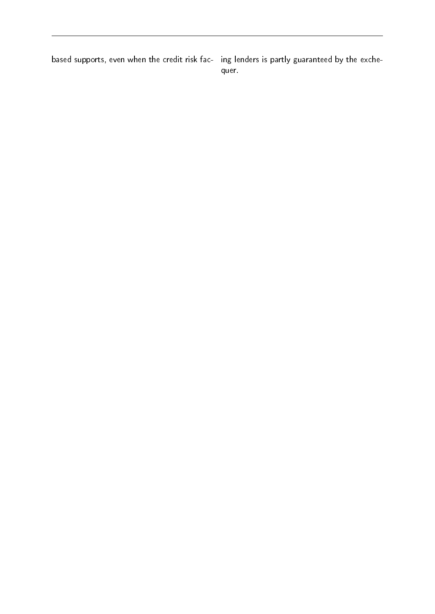based supports, even when the credit risk fac- ing lenders is partly guaranteed by the exche-

quer.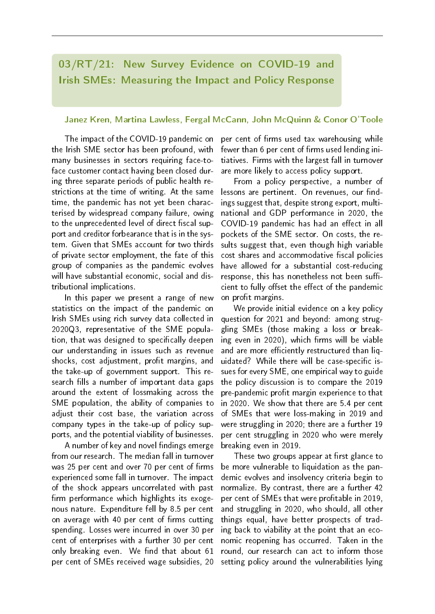## 03/RT/21: New Survey Evidence on COVID-19 and Irish SMEs: Measuring the Impact and Policy Response

#### Janez Kren, Martina Lawless, Fergal McCann, John McQuinn & Conor O'Toole

The impact of the COVID-19 pandemic on the Irish SME sector has been profound, with many businesses in sectors requiring face-toface customer contact having been closed during three separate periods of public health restrictions at the time of writing. At the same time, the pandemic has not yet been characterised by widespread company failure, owing to the unprecedented level of direct fiscal support and creditor forbearance that is in the system. Given that SMEs account for two thirds of private sector employment, the fate of this group of companies as the pandemic evolves will have substantial economic, social and distributional implications.

In this paper we present a range of new statistics on the impact of the pandemic on Irish SMEs using rich survey data collected in 2020Q3, representative of the SME population, that was designed to specifically deepen our understanding in issues such as revenue shocks, cost adjustment, profit margins, and the take-up of government support. This research fills a number of important data gaps around the extent of lossmaking across the SME population, the ability of companies to adjust their cost base, the variation across company types in the take-up of policy supports, and the potential viability of businesses.

A number of key and novel findings emerge from our research. The median fall in turnover was 25 per cent and over 70 per cent of firms experienced some fall in turnover. The impact of the shock appears uncorrelated with past firm performance which highlights its exogenous nature. Expenditure fell by 8.5 per cent on average with 40 per cent of firms cutting spending. Losses were incurred in over 30 per cent of enterprises with a further 30 per cent only breaking even. We find that about 61 per cent of SMEs received wage subsidies, 20 per cent of firms used tax warehousing while fewer than 6 per cent of firms used lending initiatives. Firms with the largest fall in turnover are more likely to access policy support.

From a policy perspective, a number of lessons are pertinent. On revenues, our findings suggest that, despite strong export, multinational and GDP performance in 2020, the COVID-19 pandemic has had an effect in all pockets of the SME sector. On costs, the results suggest that, even though high variable cost shares and accommodative fiscal policies have allowed for a substantial cost-reducing response, this has nonetheless not been sufficient to fully offset the effect of the pandemic on profit margins.

We provide initial evidence on a key policy question for 2021 and beyond: among struggling SMEs (those making a loss or breaking even in 2020), which firms will be viable and are more efficiently restructured than liguidated? While there will be case-specific issues for every SME, one empirical way to guide the policy discussion is to compare the 2019 pre-pandemic profit margin experience to that in 2020. We show that there are 5.4 per cent of SMEs that were loss-making in 2019 and were struggling in 2020; there are a further 19 per cent struggling in 2020 who were merely breaking even in 2019.

These two groups appear at first glance to be more vulnerable to liquidation as the pandemic evolves and insolvency criteria begin to normalize. By contrast, there are a further 42 per cent of SMEs that were profitable in 2019. and struggling in 2020, who should, all other things equal, have better prospects of trading back to viability at the point that an economic reopening has occurred. Taken in the round, our research can act to inform those setting policy around the vulnerabilities lying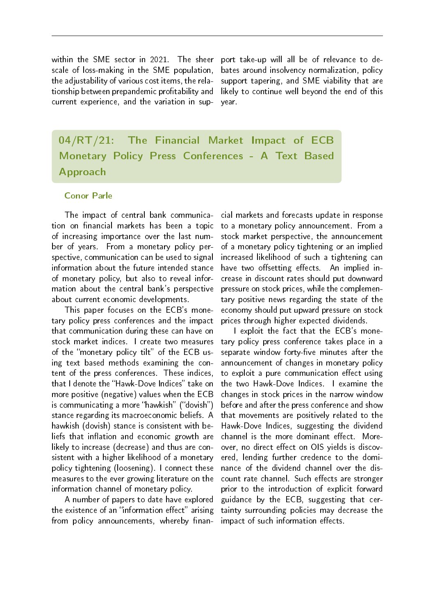within the SME sector in 2021. The sheer scale of loss-making in the SME population, the adjustability of various cost items, the relationship between prepandemic profitability and current experience, and the variation in sup-

port take-up will all be of relevance to debates around insolvency normalization, policy support tapering, and SME viability that are likely to continue well beyond the end of this year.

04/RT/21: The Financial Market Impact of ECB Monetary Policy Press Conferences - A Text Based Approach

#### Conor Parle

The impact of central bank communication on financial markets has been a topic of increasing importance over the last number of years. From a monetary policy perspective, communication can be used to signal information about the future intended stance of monetary policy, but also to reveal information about the central bank's perspective about current economic developments.

This paper focuses on the ECB's monetary policy press conferences and the impact that communication during these can have on stock market indices. I create two measures of the "monetary policy tilt" of the ECB using text based methods examining the content of the press conferences. These indices, that I denote the "Hawk-Dove Indices" take on more positive (negative) values when the ECB is communicating a more "hawkish" ("dovish") stance regarding its macroeconomic beliefs. A hawkish (dovish) stance is consistent with beliefs that inflation and economic growth are likely to increase (decrease) and thus are consistent with a higher likelihood of a monetary policy tightening (loosening). I connect these measures to the ever growing literature on the information channel of monetary policy.

A number of papers to date have explored the existence of an "information effect" arising from policy announcements, whereby finan-

cial markets and forecasts update in response to a monetary policy announcement. From a stock market perspective, the announcement of a monetary policy tightening or an implied increased likelihood of such a tightening can have two offsetting effects. An implied increase in discount rates should put downward pressure on stock prices, while the complementary positive news regarding the state of the economy should put upward pressure on stock prices through higher expected dividends.

I exploit the fact that the ECB's monetary policy press conference takes place in a separate window forty-five minutes after the announcement of changes in monetary policy to exploit a pure communication effect using the two Hawk-Dove Indices. I examine the changes in stock prices in the narrow window before and after the press conference and show that movements are positively related to the Hawk-Dove Indices, suggesting the dividend channel is the more dominant effect. Moreover, no direct effect on OIS vields is discovered, lending further credence to the dominance of the dividend channel over the discount rate channel. Such effects are stronger prior to the introduction of explicit forward guidance by the ECB, suggesting that certainty surrounding policies may decrease the impact of such information effects.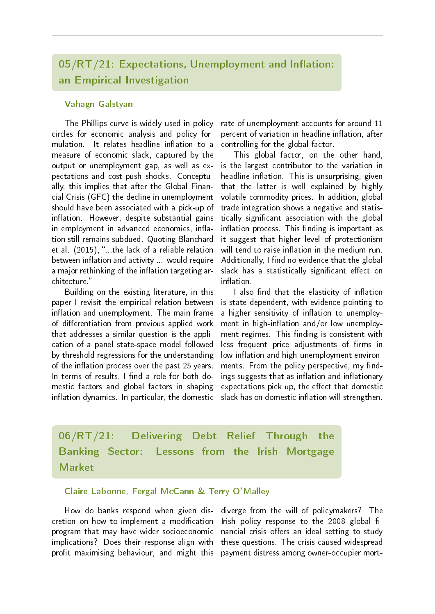## $05/RT/21$ : Expectations, Unemployment and Inflation: an Empirical Investigation

#### Vahagn Galstyan

The Phillips curve is widely used in policy circles for economic analysis and policy formulation. It relates headline inflation to a measure of economic slack, captured by the output or unemployment gap, as well as expectations and cost-push shocks. Conceptually, this implies that after the Global Financial Crisis (GFC) the decline in unemployment should have been associated with a pick-up of inflation. However, despite substantial gains in employment in advanced economies, inflation still remains subdued. Quoting Blanchard et al. (2015), "...the lack of a reliable relation between inflation and activity ... would require a major rethinking of the inflation targeting architecture.

Building on the existing literature, in this paper I revisit the empirical relation between inflation and unemployment. The main frame of differentiation from previous applied work that addresses a similar question is the application of a panel state-space model followed by threshold regressions for the understanding of the inflation process over the past 25 years. In terms of results, I find a role for both domestic factors and global factors in shaping inflation dynamics. In particular, the domestic rate of unemployment accounts for around 11 percent of variation in headline inflation, after controlling for the global factor.

This global factor, on the other hand, is the largest contributor to the variation in headline inflation. This is unsurprising, given that the latter is well explained by highly volatile commodity prices. In addition, global trade integration shows a negative and statistically signicant association with the global inflation process. This finding is important as it suggest that higher level of protectionism will tend to raise inflation in the medium run. Additionally, I find no evidence that the global slack has a statistically significant effect on inflation

I also find that the elasticity of inflation is state dependent, with evidence pointing to a higher sensitivity of inflation to unemployment in high-inflation and/or low unemployment regimes. This finding is consistent with less frequent price adjustments of firms in low-inflation and high-unemployment environments. From the policy perspective, my findings suggests that as inflation and inflationary expectations pick up, the effect that domestic slack has on domestic inflation will strengthen.

06/RT/21: Delivering Debt Relief Through the Banking Sector: Lessons from the Irish Mortgage Market

#### Claire Labonne, Fergal McCann & Terry O'Malley

How do banks respond when given discretion on how to implement a modification program that may have wider socioeconomic implications? Does their response align with profit maximising behaviour, and might this

diverge from the will of policymakers? The Irish policy response to the  $2008$  global financial crisis offers an ideal setting to study these questions. The crisis caused widespread payment distress among owner-occupier mort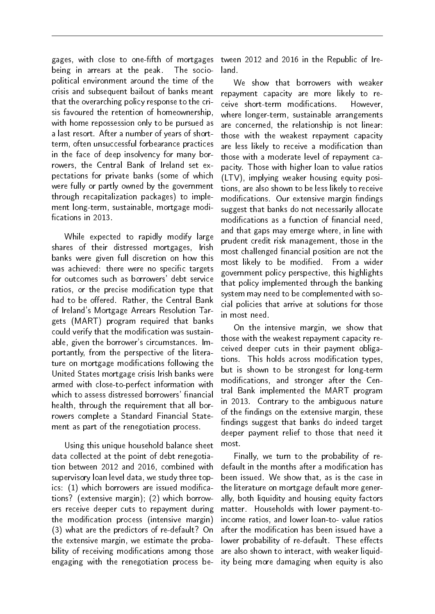gages, with close to one-fifth of mortgages being in arrears at the peak. The sociopolitical environment around the time of the crisis and subsequent bailout of banks meant that the overarching policy response to the crisis favoured the retention of homeownership, with home repossession only to be pursued as a last resort. After a number of years of shortterm, often unsuccessful forbearance practices in the face of deep insolvency for many borrowers, the Central Bank of Ireland set expectations for private banks (some of which were fully or partly owned by the government through recapitalization packages) to implement long-term, sustainable, mortgage modi fications in 2013.

While expected to rapidly modify large shares of their distressed mortgages, Irish banks were given full discretion on how this was achieved: there were no specific targets for outcomes such as borrowers' debt service ratios, or the precise modification type that had to be offered. Rather, the Central Bank of Ireland's Mortgage Arrears Resolution Targets (MART) program required that banks could verify that the modification was sustainable, given the borrower's circumstances. Importantly, from the perspective of the literature on mortgage modifications following the United States mortgage crisis Irish banks were armed with close-to-perfect information with which to assess distressed borrowers' financial health, through the requirement that all borrowers complete a Standard Financial Statement as part of the renegotiation process.

Using this unique household balance sheet data collected at the point of debt renegotiation between 2012 and 2016, combined with supervisory loan level data, we study three topics: (1) which borrowers are issued modifications? (extensive margin); (2) which borrowers receive deeper cuts to repayment during the modification process (intensive margin) (3) what are the predictors of re-default? On the extensive margin, we estimate the probability of receiving modifications among those engaging with the renegotiation process between 2012 and 2016 in the Republic of Ireland.

We show that borrowers with weaker repayment capacity are more likely to receive short-term modifications. However, where longer-term, sustainable arrangements are concerned, the relationship is not linear: those with the weakest repayment capacity are less likely to receive a modification than those with a moderate level of repayment capacity. Those with higher loan to value ratios (LTV), implying weaker housing equity positions, are also shown to be less likely to receive modifications. Our extensive margin findings suggest that banks do not necessarily allocate modifications as a function of financial need, and that gaps may emerge where, in line with prudent credit risk management, those in the most challenged financial position are not the most likely to be modified. From a wider government policy perspective, this highlights that policy implemented through the banking system may need to be complemented with social policies that arrive at solutions for those in most need.

On the intensive margin, we show that those with the weakest repayment capacity received deeper cuts in their payment obligations. This holds across modification types, but is shown to be strongest for long-term modifications, and stronger after the Central Bank implemented the MART program in 2013. Contrary to the ambiguous nature of the findings on the extensive margin, these findings suggest that banks do indeed target deeper payment relief to those that need it most.

Finally, we turn to the probability of redefault in the months after a modification has been issued. We show that, as is the case in the literature on mortgage default more generally, both liquidity and housing equity factors matter. Households with lower payment-toincome ratios, and lower loan-to- value ratios after the modification has been issued have a lower probability of re-default. These effects are also shown to interact, with weaker liquidity being more damaging when equity is also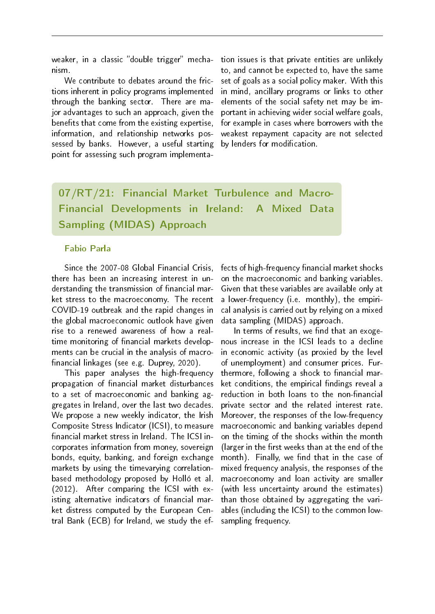weaker, in a classic "double trigger" mechanism.

We contribute to debates around the frictions inherent in policy programs implemented through the banking sector. There are major advantages to such an approach, given the benefits that come from the existing expertise, information, and relationship networks possessed by banks. However, a useful starting point for assessing such program implementation issues is that private entities are unlikely to, and cannot be expected to, have the same set of goals as a social policy maker. With this in mind, ancillary programs or links to other elements of the social safety net may be important in achieving wider social welfare goals, for example in cases where borrowers with the weakest repayment capacity are not selected by lenders for modification.

07/RT/21: Financial Market Turbulence and Macro-Financial Developments in Ireland: A Mixed Data Sampling (MIDAS) Approach

#### Fabio Parla

Since the 2007-08 Global Financial Crisis, there has been an increasing interest in understanding the transmission of financial market stress to the macroeconomy. The recent COVID-19 outbreak and the rapid changes in the global macroeconomic outlook have given rise to a renewed awareness of how a realtime monitoring of financial markets developments can be crucial in the analysis of macro financial linkages (see e.g. Duprey, 2020).

This paper analyses the high-frequency propagation of financial market disturbances to a set of macroeconomic and banking aggregates in Ireland, over the last two decades. We propose a new weekly indicator, the Irish Composite Stress Indicator (ICSI), to measure financial market stress in Ireland. The ICSI incorporates information from money, sovereign bonds, equity, banking, and foreign exchange markets by using the timevarying correlationbased methodology proposed by Holló et al. (2012). After comparing the ICSI with existing alternative indicators of financial market distress computed by the European Central Bank (ECB) for Ireland, we study the effects of high-frequency financial market shocks on the macroeconomic and banking variables. Given that these variables are available only at a lower-frequency (i.e. monthly), the empirical analysis is carried out by relying on a mixed data sampling (MIDAS) approach.

In terms of results, we find that an exogenous increase in the ICSI leads to a decline in economic activity (as proxied by the level of unemployment) and consumer prices. Furthermore, following a shock to financial market conditions, the empirical findings reveal a reduction in both loans to the non-financial private sector and the related interest rate. Moreover, the responses of the low-frequency macroeconomic and banking variables depend on the timing of the shocks within the month (larger in the first weeks than at the end of the month). Finally, we find that in the case of mixed frequency analysis, the responses of the macroeconomy and loan activity are smaller (with less uncertainty around the estimates) than those obtained by aggregating the variables (including the ICSI) to the common lowsampling frequency.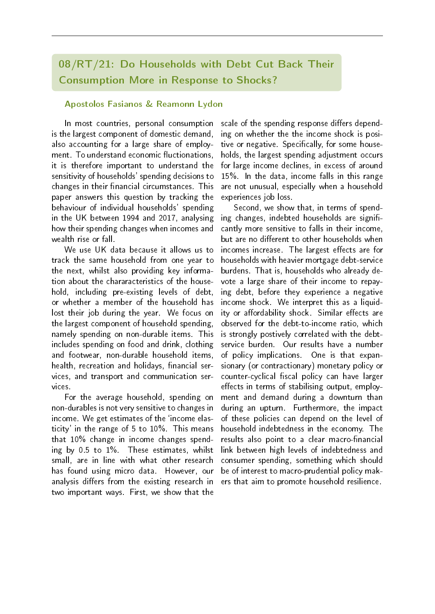## 08/RT/21: Do Households with Debt Cut Back Their Consumption More in Response to Shocks?

#### Apostolos Fasianos & Reamonn Lydon

In most countries, personal consumption is the largest component of domestic demand, also accounting for a large share of employment. To understand economic fluctionations, it is therefore important to understand the sensitivity of households' spending decisions to changes in their financial circumstances. This paper answers this question by tracking the behaviour of individual households' spending in the UK between 1994 and 2017, analysing how their spending changes when incomes and wealth rise or fall.

We use UK data because it allows us to track the same household from one year to the next, whilst also providing key information about the chararacteristics of the household, including pre-existing levels of debt, or whether a member of the household has lost their job during the year. We focus on the largest component of household spending, namely spending on non-durable items. This includes spending on food and drink, clothing and footwear, non-durable household items, health, recreation and holidays, financial services, and transport and communication services.

For the average household, spending on non-durables is not very sensitive to changes in income. We get estimates of the `income elasticity' in the range of 5 to 10%. This means that 10% change in income changes spending by 0.5 to 1%. These estimates, whilst small, are in line with what other research has found using micro data. However, our analysis differs from the existing research in two important ways. First, we show that the

scale of the spending response differs depending on whether the the income shock is positive or negative. Specifically, for some households, the largest spending adjustment occurs for large income declines, in excess of around 15%. In the data, income falls in this range are not unusual, especially when a household experiences job loss.

Second, we show that, in terms of spending changes, indebted households are significantly more sensitive to falls in their income, but are no different to other households when incomes increase. The largest effects are for households with heavier mortgage debt-service burdens. That is, households who already devote a large share of their income to repaying debt, before they experience a negative income shock. We interpret this as a liquidity or affordability shock. Similar effects are observed for the debt-to-income ratio, which is strongly postively correlated with the debtservice burden. Our results have a number of policy implications. One is that expansionary (or contractionary) monetary policy or counter-cyclical fiscal policy can have larger effects in terms of stabilising output, employment and demand during a downturn than during an upturn. Furthermore, the impact of these policies can depend on the level of household indebtedness in the economy. The results also point to a clear macro-financial link between high levels of indebtedness and consumer spending, something which should be of interest to macro-prudential policy makers that aim to promote household resilience.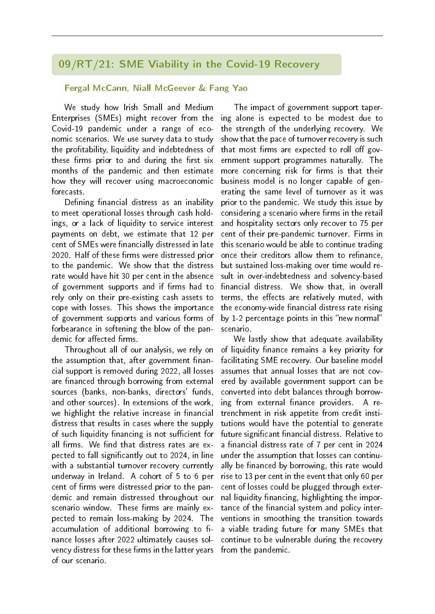### 09/RT/21: SME Viability in the Covid-19 Recovery

#### Fergal McCann, Niall McGeever & Fang Yao

We study how Irish Small and Medium Enterprises (SMEs) might recover from the Covid-19 pandemic under a range of economic scenarios. We use survey data to study the profitability, liquidity and indebtedness of these firms prior to and during the first six months of the pandemic and then estimate how they will recover using macroeconomic forecasts.

Defining financial distress as an inability to meet operational losses through cash holdings, or a lack of liquidity to service interest payments on debt, we estimate that 12 per cent of SMEs were financially distressed in late 2020. Half of these firms were distressed prior to the pandemic. We show that the distress rate would have hit 30 per cent in the absence of government supports and if firms had to rely only on their pre-existing cash assets to cope with losses. This shows the importance of government supports and various forms of forbearance in softening the blow of the pandemic for affected firms.

Throughout all of our analysis, we rely on the assumption that, after government financial support is removed during 2022, all losses are financed through borrowing from external sources (banks, non-banks, directors' funds, and other sources). In extensions of the work, we highlight the relative increase in financial distress that results in cases where the supply of such liquidity financing is not sufficient for all firms. We find that distress rates are expected to fall signicantly out to 2024, in line with a substantial turnover recovery currently underway in Ireland. A cohort of 5 to 6 per cent of firms were distressed prior to the pandemic and remain distressed throughout our scenario window. These firms are mainly expected to remain loss-making by 2024. The accumulation of additional borrowing to finance losses after 2022 ultimately causes solvency distress for these firms in the latter years of our scenario.

The impact of government support tapering alone is expected to be modest due to the strength of the underlying recovery. We show that the pace of turnover recovery is such that most firms are expected to roll off government support programmes naturally. The more concerning risk for firms is that their business model is no longer capable of generating the same level of turnover as it was prior to the pandemic. We study this issue by considering a scenario where firms in the retail and hospitality sectors only recover to 75 per cent of their pre-pandemic turnover. Firms in this scenario would be able to continue trading once their creditors allow them to refinance, but sustained loss-making over time would result in over-indebtedness and solvency-based financial distress. We show that, in overall terms, the effects are relatively muted, with the economy-wide financial distress rate rising by  $1-2$  percentage points in this "new normal" scenario.

We lastly show that adequate availability of liquidity finance remains a key priority for facilitating SME recovery. Our baseline model assumes that annual losses that are not covered by available government support can be converted into debt balances through borrowing from external finance providers. A retrenchment in risk appetite from credit institutions would have the potential to generate future significant financial distress. Relative to a financial distress rate of 7 per cent in 2024 under the assumption that losses can continually be financed by borrowing, this rate would rise to 13 per cent in the event that only 60 per cent of losses could be plugged through external liquidity financing, highlighting the importance of the financial system and policy interventions in smoothing the transition towards a viable trading future for many SMEs that continue to be vulnerable during the recovery from the pandemic.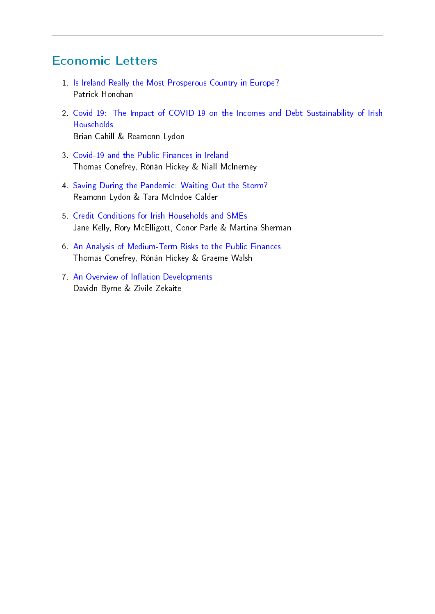# Economic Letters

- 1. [Is Ireland Really the Most Prosperous Country in Europe?](https://www.centralbank.ie/docs/default-source/publications/economic-letters/vol-2021-no-1-is-ireland-really-the-most-prosperous-country-in-europe.pdf?sfvrsn=25) Patrick Honohan
- 2. [Covid-19: The Impact of COVID-19 on the Incomes and Debt Sustainability of Irish](https://www.centralbank.ie/docs/default-source/publications/economic-letters/the-impact-of-covid-19-on-the-incomes-and-debt-sustainability-of-irish-households.pdf?sfvrsn=6) [Households](https://www.centralbank.ie/docs/default-source/publications/economic-letters/the-impact-of-covid-19-on-the-incomes-and-debt-sustainability-of-irish-households.pdf?sfvrsn=6) Brian Cahill & Reamonn Lydon
- 3. [Covid-19 and the Public Finances in Ireland](https://www.centralbank.ie/docs/default-source/publications/economic-letters/vol-2021-no-3-covid-19-and-the-public-finances-in-ireland-(conefrey-hickey-and-mcinerney).pdf?sfvrsn=11) Thomas Conefrey, Rónán Hickey & Niall McInerney
- 4. [Saving During the Pandemic: Waiting Out the Storm?](https://www.centralbank.ie/docs/default-source/publications/economic-letters/vol-2021-no-4-saving-during-the-pandemic-waiting-out-the-storm-reamonn-lydon-and-tara-mcindoe-calder.pdf?sfvrsn=7) Reamonn Lydon & Tara McIndoe-Calder
- 5. [Credit Conditions for Irish Households and SMEs](https://www.centralbank.ie/docs/default-source/publications/economic-letters/credit-conditions-irish-households-and-smes-vol-2021-no-5.pdf?sfvrsn=7) Jane Kelly, Rory McElligott, Conor Parle & Martina Sherman
- 6. [An Analysis of Medium-Term Risks to the Public Finances](https://www.centralbank.ie/docs/default-source/publications/economic-letters/vol-2021-no-6-analysis-of-medium-term-risks-to-the-public-finances.pdf?sfvrsn=9) Thomas Conefrey, Rónán Hickey & Graeme Walsh
- <span id="page-15-0"></span>7 An Overview of Inflation Developments Davidn Byrne & Zivile Zekaite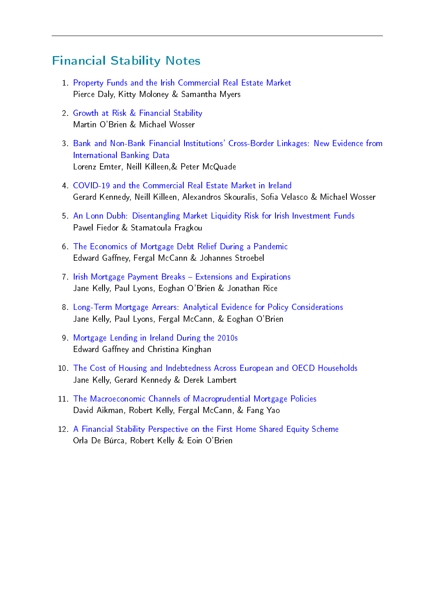## Financial Stability Notes

- 1. [Property Funds and the Irish Commercial Real Estate Market](https://www.centralbank.ie/docs/default-source/publications/financial-stability-notes/property-funds-and-the-irish-commerical-real-estate-market.pdf?sfvrsn=11) Pierce Daly, Kitty Moloney & Samantha Myers
- 2. [Growth at Risk & Financial Stability](https://www.centralbank.ie/docs/default-source/publications/financial-stability-notes/no-2-growth-at-risk-and-financial-stability-(o) Martin O'Brien & Michael Wosser
- 3. [Bank and Non-Bank Financial Institutions' Cross-Border Linkages: New Evidence from](https://www.centralbank.ie/docs/default-source/publications/financial-stability-notes/no-3-bank-and-non-bank-financial-institutions.pdf?sfvrsn=7) [International Banking Data](https://www.centralbank.ie/docs/default-source/publications/financial-stability-notes/no-3-bank-and-non-bank-financial-institutions.pdf?sfvrsn=7) Lorenz Emter, Neill Killeen,& Peter McQuade
- 4. [COVID-19 and the Commercial Real Estate Market in Ireland](https://www.centralbank.ie/docs/default-source/publications/financial-stability-notes/covid-19-and-the-commercial-real-estate-market-in-ireland.pdf?sfvrsn=8) Gerard Kennedy, Neill Killeen, Alexandros Skouralis, Sofia Velasco & Michael Wosser
- 5. [An Lonn Dubh: Disentangling Market Liquidity Risk for Irish Investment Funds](https://www.centralbank.ie/docs/default-source/publications/financial-stability-notes/no-5-an-lonn-dubh-disentangling-market-liquidity-risk-irish-investment.pdf?sfvrsn=4) Pawel Fiedor & Stamatoula Fragkou
- 6. [The Economics of Mortgage Debt Relief During a Pandemic](https://www.centralbank.ie/docs/default-source/publications/financial-stability-notes/the-economics-of-mortgage-debt-relief-during-a-pandemic.pdf?sfvrsn=12) Edward Gaffney, Fergal McCann & Johannes Stroebel
- 7. [Irish Mortgage Payment Breaks Extensions and Expirations](https://www.centralbank.ie/docs/default-source/publications/financial-stability-notes/irish-mortgage-payment-breaks-extensions-and-expirations.pdf?sfvrsn=8) Jane Kelly, Paul Lyons, Eoghan O'Brien & Jonathan Rice
- 8. [Long-Term Mortgage Arrears: Analytical Evidence for Policy Considerations](https://www.centralbank.ie/docs/default-source/publications/financial-stability-notes/long-term-mortgage-arrears-analytical-evidence-for-policy-considerations.pdf?sfvrsn=4) Jane Kelly, Paul Lyons, Fergal McCann, & Eoghan O'Brien
- 9. [Mortgage Lending in Ireland During the 2010s](https://www.centralbank.ie/docs/default-source/publications/financial-stability-notes/no-9-mortgage-lending-in-ireland-during-the-2010s-(gaffney-and-kinghan).pdf?sfvrsn=13) Edward Gaffney and Christina Kinghan
- 10. [The Cost of Housing and Indebtedness Across European and OECD Households](https://www.centralbank.ie/docs/default-source/publications/financial-stability-notes/no-10-the-cost-of-housing-and-indebtedness.pdf?sfvrsn=11) Jane Kelly, Gerard Kennedy & Derek Lambert
- 11. [The Macroeconomic Channels of Macroprudential Mortgage Policies](https://www.centralbank.ie/docs/default-source/publications/financial-stability-notes/no.11-the-macroeconomic-channels-of-macroprudential-mortgage-policies-(aikman-kelly-mccann-and-yao).pdf?sfvrsn=4) David Aikman, Robert Kelly, Fergal McCann, & Fang Yao
- <span id="page-16-0"></span>12. [A Financial Stability Perspective on the First Home Shared Equity Scheme](https://www.centralbank.ie/docs/default-source/publications/financial-stability-notes/a-financial-stability-perspective-on-the-first-home-shared-equity-scheme.pdf?sfvrsn=6) Orla De Búrca, Robert Kelly & Eoin O'Brien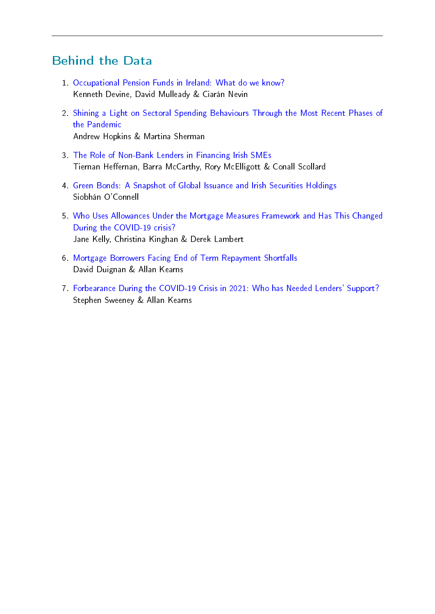## Behind the Data

- 1. [Occupational Pension Funds in Ireland: What do we know?](https://www.centralbank.ie/statistics/statistical-publications/behind-the-data/occupational-pension-funds-in-ireland-what-do-we-know) Kenneth Devine, David Mulleady & Ciarán Nevin
- 2. [Shining a Light on Sectoral Spending Behaviours Through the Most Recent Phases of](https://www.centralbank.ie/statistics/statistical-publications/behind-the-data/shining-a-light-on-sectoral-spending-behaviours-through-the-most-recent-phases-of-the-pandemic) [the Pandemic](https://www.centralbank.ie/statistics/statistical-publications/behind-the-data/shining-a-light-on-sectoral-spending-behaviours-through-the-most-recent-phases-of-the-pandemic) Andrew Hopkins & Martina Sherman
- 3. [The Role of Non-Bank Lenders in Financing Irish SMEs](https://www.centralbank.ie/statistics/statistical-publications/behind-the-data/the-role-of-non-bank-lenders-in-financing-irish-smes) Tiernan Heffernan, Barra McCarthy, Rory McElligott & Conall Scollard
- 4. [Green Bonds: A Snapshot of Global Issuance and Irish Securities Holdings](https://www.centralbank.ie/statistics/statistical-publications/behind-the-data/green-bonds-a-snapshot-of-global-issuance-and-irish-securities-holdings) Siobhán O'Connell
- 5. [Who Uses Allowances Under the Mortgage Measures Framework and Has This Changed](https://www.centralbank.ie/statistics/statistical-publications/behind-the-data/allowances-under-the-mortgage-measures-framework) [During the COVID-19 crisis?](https://www.centralbank.ie/statistics/statistical-publications/behind-the-data/allowances-under-the-mortgage-measures-framework) Jane Kelly, Christina Kinghan & Derek Lambert
- 6. [Mortgage Borrowers Facing End of Term Repayment Shortfalls](https://www.centralbank.ie/statistics/statistical-publications/behind-the-data/mortgage-borrowers-facing-end-of-term-repayment-shortfalls) David Duignan & Allan Kearns
- <span id="page-17-0"></span>7. [Forbearance During the COVID-19 Crisis in 2021: Who has Needed Lenders' Support?](https://www.centralbank.ie/statistics/statistical-publications/behind-the-data/forbearance-during-the-covid-19-crisis-in-2021) Stephen Sweeney & Allan Kearns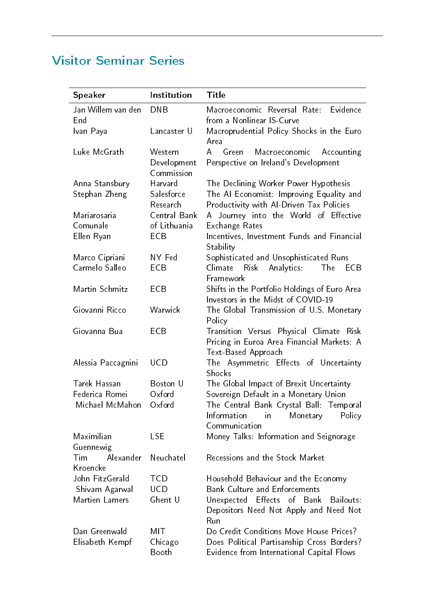# Visitor Seminar Series

<span id="page-18-0"></span>

| <b>Speaker</b>            | Institution                          | Title                                                                                                               |
|---------------------------|--------------------------------------|---------------------------------------------------------------------------------------------------------------------|
| Jan Willem van den<br>End | <b>DNB</b>                           | Evidence<br>Macroeconomic Reversal Rate:<br>from a Nonlinear IS-Curve                                               |
| Ivan Paya                 | Lancaster U                          | Macroprudential Policy Shocks in the Euro<br>Area                                                                   |
| Luke McGrath              | Western<br>Development<br>Commission | $\mathsf{A}$<br>Green<br>Macroeconomic<br>Accounting<br>Perspective on Ireland's Development                        |
| Anna Stansbury            | Harvard                              | The Declining Worker Power Hypothesis                                                                               |
| Stephan Zheng             | Salesforce<br>Research               | The Al Economist: Improving Equality and<br>Productivity with Al-Driven Tax Policies                                |
| Mariarosaria              | Central Bank                         | A Journey into the World of Effective                                                                               |
| Comunale                  | of Lithuania                         | <b>Exchange Rates</b>                                                                                               |
| Ellen Ryan                | ECB                                  | Incentives, Investment Funds and Financial                                                                          |
|                           |                                      | Stability                                                                                                           |
| Marco Cipriani            | NY Fed                               | Sophisticated and Unsophisticated Runs                                                                              |
| Carmelo Salleo            | ECB                                  | Climate<br>Analytics:<br><b>Risk</b><br>The<br>ECB                                                                  |
|                           |                                      | Framework                                                                                                           |
| Martin Schmitz            | ECB                                  | Shifts in the Portfolio Holdings of Euro Area                                                                       |
|                           |                                      | Investors in the Midst of COVID-19                                                                                  |
| Giovanni Ricco            | Warwick                              | The Global Transmission of U.S. Monetary                                                                            |
|                           |                                      | Policy                                                                                                              |
| Giovanna Bua              | ECB                                  | Transition Versus Physical Climate Risk<br>Pricing in Euroa Area Financial Markets: A<br><b>Text-Based Approach</b> |
| Alessia Paccagnini        | <b>UCD</b>                           | The Asymmetric Effects of Uncertainty<br>Shocks                                                                     |
| Tarek Hassan              | Boston U                             | The Global Impact of Brexit Uncertainty                                                                             |
| Federica Romei            | Oxford                               | Sovereign Default in a Monetary Union                                                                               |
| Michael McMahon           | Oxford                               | The Central Bank Crystal Ball: Temporal                                                                             |
|                           |                                      | Information<br>Policy<br>in<br>Monetary<br>Communication                                                            |
| Maximilian                | <b>LSE</b>                           | Money Talks: Information and Seignorage                                                                             |
| Guennewig                 |                                      |                                                                                                                     |
| Alexander<br>Tim          | Neuchatel                            | Recessions and the Stock Market                                                                                     |
| Kroencke                  |                                      |                                                                                                                     |
| John FitzGerald           | <b>TCD</b>                           | Household Behaviour and the Economy                                                                                 |
| Shivam Agarwal            | <b>UCD</b>                           | <b>Bank Culture and Enforcements</b>                                                                                |
| Martien Lamers            | Ghent U                              | Effects<br>Unexpected<br>of<br>Bank<br>Bailouts:                                                                    |
|                           |                                      | Depositors Need Not Apply and Need Not<br>Run                                                                       |
| Dan Greenwald             | MIT                                  | Do Credit Conditions Move House Prices?                                                                             |
| Elisabeth Kempf           | Chicago                              | Does Political Partisanship Cross Borders?                                                                          |
|                           | Booth                                | Evidence from International Capital Flows                                                                           |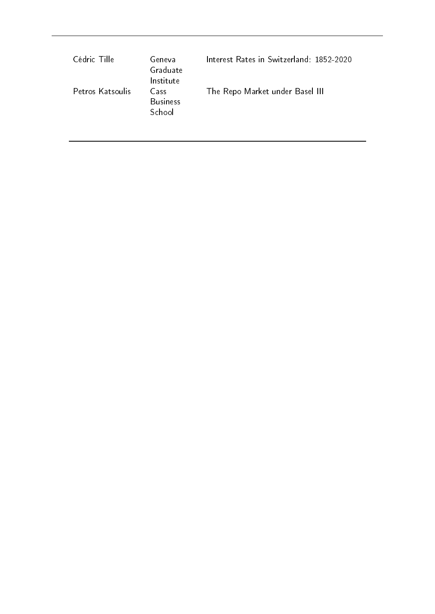| Cédric Tille     | Geneva<br>Graduate<br>Institute   | Interest Rates in Switzerland: 1852-2020 |
|------------------|-----------------------------------|------------------------------------------|
| Petros Katsoulis | Cass<br><b>Business</b><br>School | The Repo Market under Basel III          |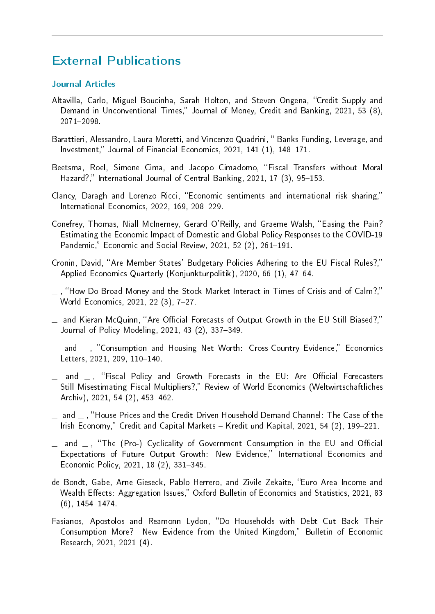## External Publications

#### Journal Articles

- <span id="page-20-0"></span>Altavilla, Carlo, Miguel Boucinha, Sarah Holton, and Steven Ongena, "Credit Supply and Demand in Unconventional Times," Journal of Money, Credit and Banking, 2021, 53 (8), 2071-2098.
- Barattieri, Alessandro, Laura Moretti, and Vincenzo Quadrini, "Banks Funding, Leverage, and Investment," Journal of Financial Economics,  $2021$ ,  $141$   $(1)$ ,  $148-171$ .
- Beetsma, Roel, Simone Cima, and Jacopo Cimadomo, "Fiscal Transfers without Moral Hazard?," International Journal of Central Banking, 2021, 17 (3), 95-153.
- Clancy, Daragh and Lorenzo Ricci, "Economic sentiments and international risk sharing," International Economics, 2022, 169, 208-229.
- Conefrey, Thomas, Niall McInerney, Gerard O'Reilly, and Graeme Walsh, "Easing the Pain? Estimating the Economic Impact of Domestic and Global Policy Responses to the COVID-19 Pandemic," Economic and Social Review, 2021, 52 $(2)$ , 261–191.
- Cronin, David, "Are Member States' Budgetary Policies Adhering to the EU Fiscal Rules?," Applied Economics Quarterly (Konjunkturpolitik), 2020, 66 (1), 47-64.
- $\mu$ , "How Do Broad Money and the Stock Market Interact in Times of Crisis and of Calm?," World Economics, 2021, 22 (3), 7-27.
- $\equiv$  and Kieran McQuinn, "Are Official Forecasts of Output Growth in the EU Still Biased?," Journal of Policy Modeling, 2021, 43 (2), 337-349.
- $\Box$  and  $\Box$ , "Consumption and Housing Net Worth: Cross-Country Evidence," Economics Letters, 2021, 209, 110-140.
- $-$  and  $-$  , "Fiscal Policy and Growth Forecasts in the EU: Are Official Forecasters Still Misestimating Fiscal Multipliers?," Review of World Economics (Weltwirtschaftliches Archiv), 2021, 54 (2), 453-462.
- $\equiv$  and  $\equiv$  , "House Prices and the Credit-Driven Household Demand Channel: The Case of the Irish Economy," Credit and Capital Markets - Kredit und Kapital, 2021, 54 (2), 199-221.
- $\equiv$  and  $\equiv$ , "The (Pro-) Cyclicality of Government Consumption in the EU and Official Expectations of Future Output Growth: New Evidence," International Economics and Economic Policy, 2021, 18 (2), 331-345.
- de Bondt, Gabe, Arne Gieseck, Pablo Herrero, and Zivile Zekaite, "Euro Area Income and Wealth Effects: Aggregation Issues," Oxford Bulletin of Economics and Statistics, 2021, 83  $(6)$ , 1454-1474.
- Fasianos, Apostolos and Reamonn Lydon, "Do Households with Debt Cut Back Their Consumption More? New Evidence from the United Kingdom," Bulletin of Economic Research, 2021, 2021 (4).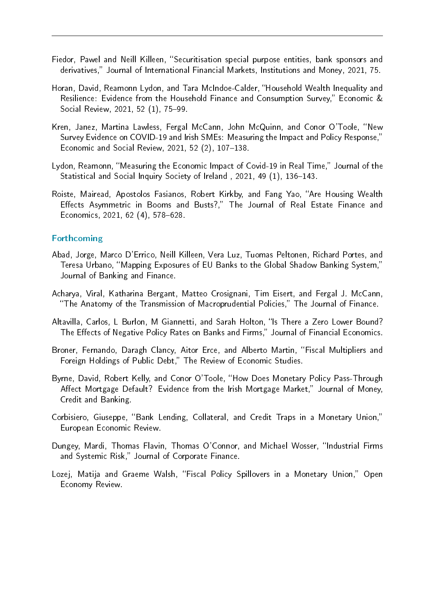- Fiedor, Pawel and Neill Killeen, "Securitisation special purpose entities, bank sponsors and derivatives," Journal of International Financial Markets, Institutions and Money, 2021, 75.
- Horan, David, Reamonn Lydon, and Tara McIndoe-Calder, "Household Wealth Inequality and Resilience: Evidence from the Household Finance and Consumption Survey," Economic & Social Review, 2021, 52 (1), 75-99.
- Kren, Janez, Martina Lawless, Fergal McCann, John McQuinn, and Conor O'Toole, "New Survey Evidence on COVID-19 and Irish SMEs: Measuring the Impact and Policy Response, Economic and Social Review,  $2021, 52$  (2),  $107-138$ .
- Lydon, Reamonn, "Measuring the Economic Impact of Covid-19 in Real Time," Journal of the Statistical and Social Inquiry Society of Ireland, 2021, 49 (1), 136–143.
- Roiste, Mairead, Apostolos Fasianos, Robert Kirkby, and Fang Yao, "Are Housing Wealth Effects Asymmetric in Booms and Busts?," The Journal of Real Estate Finance and Economics, 2021, 62 (4), 578-628.

#### Forthcoming

- Abad, Jorge, Marco D'Errico, Neill Killeen, Vera Luz, Tuomas Peltonen, Richard Portes, and Teresa Urbano, "Mapping Exposures of EU Banks to the Global Shadow Banking System," Journal of Banking and Finance.
- Acharya, Viral, Katharina Bergant, Matteo Crosignani, Tim Eisert, and Fergal J. McCann, The Anatomy of the Transmission of Macroprudential Policies, The Journal of Finance.
- Altavilla, Carlos, L Burlon, M Giannetti, and Sarah Holton, "Is There a Zero Lower Bound? The Effects of Negative Policy Rates on Banks and Firms," Journal of Financial Economics.
- Broner, Fernando, Daragh Clancy, Aitor Erce, and Alberto Martin, "Fiscal Multipliers and Foreign Holdings of Public Debt," The Review of Economic Studies.
- Byrne, David, Robert Kelly, and Conor O'Toole, "How Does Monetary Policy Pass-Through Affect Mortgage Default? Evidence from the Irish Mortgage Market," Journal of Money, Credit and Banking.
- Corbisiero, Giuseppe, "Bank Lending, Collateral, and Credit Traps in a Monetary Union," European Economic Review.
- Dungey, Mardi, Thomas Flavin, Thomas O'Connor, and Michael Wosser, "Industrial Firms and Systemic Risk," Journal of Corporate Finance.
- Lozej, Matija and Graeme Walsh, "Fiscal Policy Spillovers in a Monetary Union," Open Economy Review.